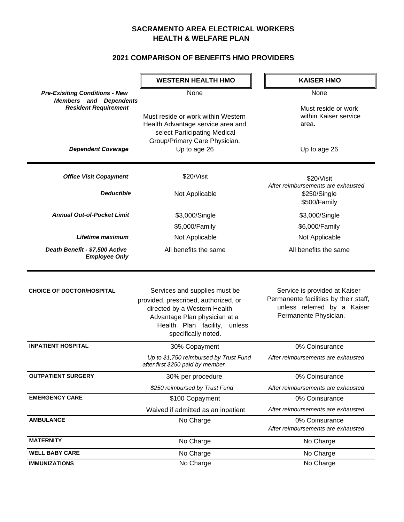## **SACRAMENTO AREA ELECTRICAL WORKERS HEALTH & WELFARE PLAN**

## **2021 COMPARISON OF BENEFITS HMO PROVIDERS**

|                                                                        | <b>WESTERN HEALTH HMO</b>                                                                                                                                                                     | <b>KAISER HMO</b>                                                                                                              |
|------------------------------------------------------------------------|-----------------------------------------------------------------------------------------------------------------------------------------------------------------------------------------------|--------------------------------------------------------------------------------------------------------------------------------|
| <b>Pre-Exisiting Conditions - New</b><br><b>Members and Dependents</b> | None                                                                                                                                                                                          | None                                                                                                                           |
| <b>Resident Requirement</b>                                            | Must reside or work within Western<br>Health Advantage service area and<br>select Participating Medical<br>Group/Primary Care Physician.                                                      | Must reside or work<br>within Kaiser service<br>area.                                                                          |
| <b>Dependent Coverage</b>                                              | Up to age 26                                                                                                                                                                                  | Up to age 26                                                                                                                   |
| <b>Office Visit Copayment</b>                                          | \$20/Visit                                                                                                                                                                                    | \$20/Visit<br>After reimbursements are exhausted                                                                               |
| <b>Deductible</b>                                                      | Not Applicable                                                                                                                                                                                | \$250/Single<br>\$500/Family                                                                                                   |
| <b>Annual Out-of-Pocket Limit</b>                                      | \$3,000/Single                                                                                                                                                                                | \$3,000/Single                                                                                                                 |
|                                                                        | \$5,000/Family                                                                                                                                                                                | \$6,000/Family                                                                                                                 |
| Lifetime maximum                                                       | Not Applicable                                                                                                                                                                                | Not Applicable                                                                                                                 |
| Death Benefit - \$7,500 Active<br><b>Employee Only</b>                 | All benefits the same                                                                                                                                                                         | All benefits the same                                                                                                          |
| <b>CHOICE OF DOCTOR/HOSPITAL</b>                                       | Services and supplies must be<br>provided, prescribed, authorized, or<br>directed by a Western Health<br>Advantage Plan physician at a<br>Health Plan facility, unless<br>specifically noted. | Service is provided at Kaiser<br>Permanente facilities by their staff,<br>unless referred by a Kaiser<br>Permanente Physician. |
| <b>INPATIENT HOSPITAL</b>                                              | 30% Copayment                                                                                                                                                                                 | 0% Coinsurance                                                                                                                 |
|                                                                        | Up to \$1,750 reimbursed by Trust Fund<br>after first \$250 paid by member                                                                                                                    | After reimbursements are exhausted                                                                                             |
| <b>OUTPATIENT SURGERY</b>                                              | 30% per procedure                                                                                                                                                                             | 0% Coinsurance                                                                                                                 |
|                                                                        | \$250 reimbursed by Trust Fund                                                                                                                                                                | After reimbursements are exhausted                                                                                             |
| <b>EMERGENCY CARE</b>                                                  | \$100 Copayment                                                                                                                                                                               | 0% Coinsurance                                                                                                                 |
|                                                                        | Waived if admitted as an inpatient                                                                                                                                                            | After reimbursements are exhausted                                                                                             |
| <b>AMBULANCE</b>                                                       | No Charge                                                                                                                                                                                     | 0% Coinsurance<br>After reimbursements are exhausted                                                                           |
| <b>MATERNITY</b>                                                       | No Charge                                                                                                                                                                                     | No Charge                                                                                                                      |
| <b>WELL BABY CARE</b>                                                  | No Charge                                                                                                                                                                                     | No Charge                                                                                                                      |
| <b>IMMUNIZATIONS</b>                                                   | No Charge                                                                                                                                                                                     | No Charge                                                                                                                      |